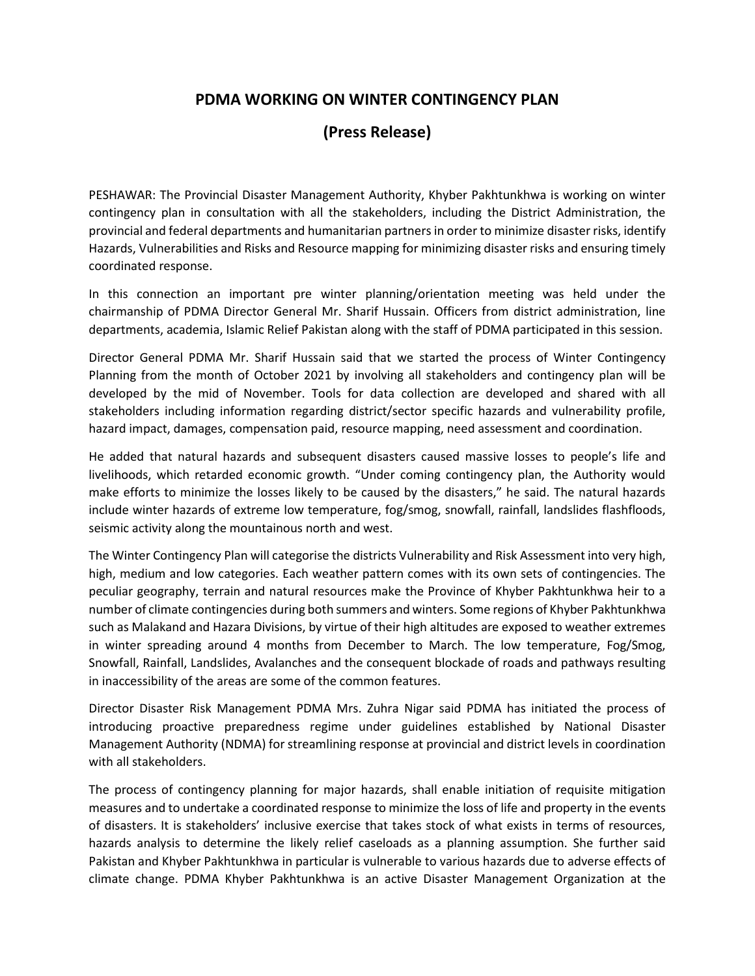## **[PDMA WORKING ON WINTER](https://www.dawn.com/news/1613080/pdma-working-on-monsoon-contingency-plan) CONTINGENCY PLAN**

## **(Press Release)**

PESHAWAR: The Provincial Disaster Management Authority, Khyber Pakhtunkhwa is working on winter contingency plan in consultation with all the stakeholders, including the District Administration, the provincial and federal departments and humanitarian partners in order to minimize disaster risks, identify Hazards, Vulnerabilities and Risks and Resource mapping for minimizing disaster risks and ensuring timely coordinated response.

In this connection an important pre winter planning/orientation meeting was held under the chairmanship of PDMA Director General Mr. Sharif Hussain. Officers from district administration, line departments, academia, Islamic Relief Pakistan along with the staff of PDMA participated in this session.

Director General PDMA Mr. Sharif Hussain said that we started the process of Winter Contingency Planning from the month of October 2021 by involving all stakeholders and contingency plan will be developed by the mid of November. Tools for data collection are developed and shared with all stakeholders including information regarding district/sector specific hazards and vulnerability profile, hazard impact, damages, compensation paid, resource mapping, need assessment and coordination.

He added that natural hazards and subsequent disasters caused massive losses to people's life and livelihoods, which retarded economic growth. "Under coming contingency plan, the Authority would make efforts to minimize the losses likely to be caused by the disasters," he said. The natural hazards include winter hazards of extreme low temperature, fog/smog, snowfall, rainfall, landslides flashfloods, seismic activity along the mountainous north and west.

The Winter Contingency Plan will categorise the districts Vulnerability and Risk Assessment into very high, high, medium and low categories. Each weather pattern comes with its own sets of contingencies. The peculiar geography, terrain and natural resources make the Province of Khyber Pakhtunkhwa heir to a number of climate contingencies during both summers and winters. Some regions of Khyber Pakhtunkhwa such as Malakand and Hazara Divisions, by virtue of their high altitudes are exposed to weather extremes in winter spreading around 4 months from December to March. The low temperature, Fog/Smog, Snowfall, Rainfall, Landslides, Avalanches and the consequent blockade of roads and pathways resulting in inaccessibility of the areas are some of the common features.

Director Disaster Risk Management PDMA Mrs. Zuhra Nigar said PDMA has initiated the process of introducing proactive preparedness regime under guidelines established by National Disaster Management Authority (NDMA) for streamlining response at provincial and district levels in coordination with all stakeholders.

The process of contingency planning for major hazards, shall enable initiation of requisite mitigation measures and to undertake a coordinated response to minimize the loss of life and property in the events of disasters. It is stakeholders' inclusive exercise that takes stock of what exists in terms of resources, hazards analysis to determine the likely relief caseloads as a planning assumption. She further said Pakistan and Khyber Pakhtunkhwa in particular is vulnerable to various hazards due to adverse effects of climate change. PDMA Khyber Pakhtunkhwa is an active Disaster Management Organization at the